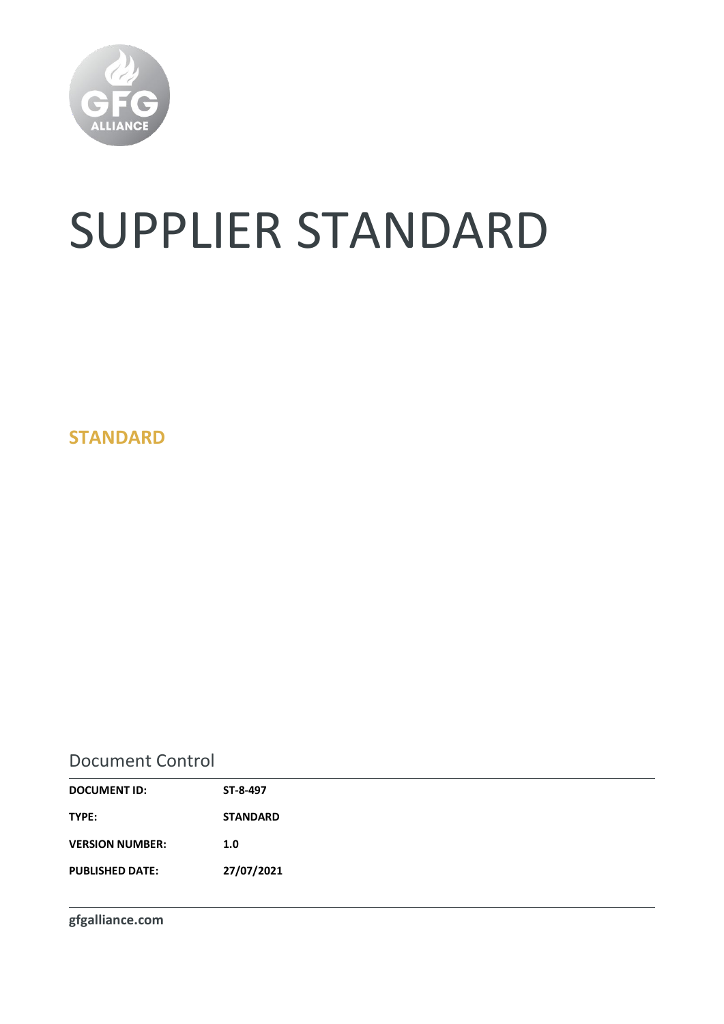

# SUPPLIER STANDARD

**STANDARD**

### Document Control

| ST-8-497        |
|-----------------|
| <b>STANDARD</b> |
| 1.0             |
| 27/07/2021      |
|                 |

**gfgalliance.com**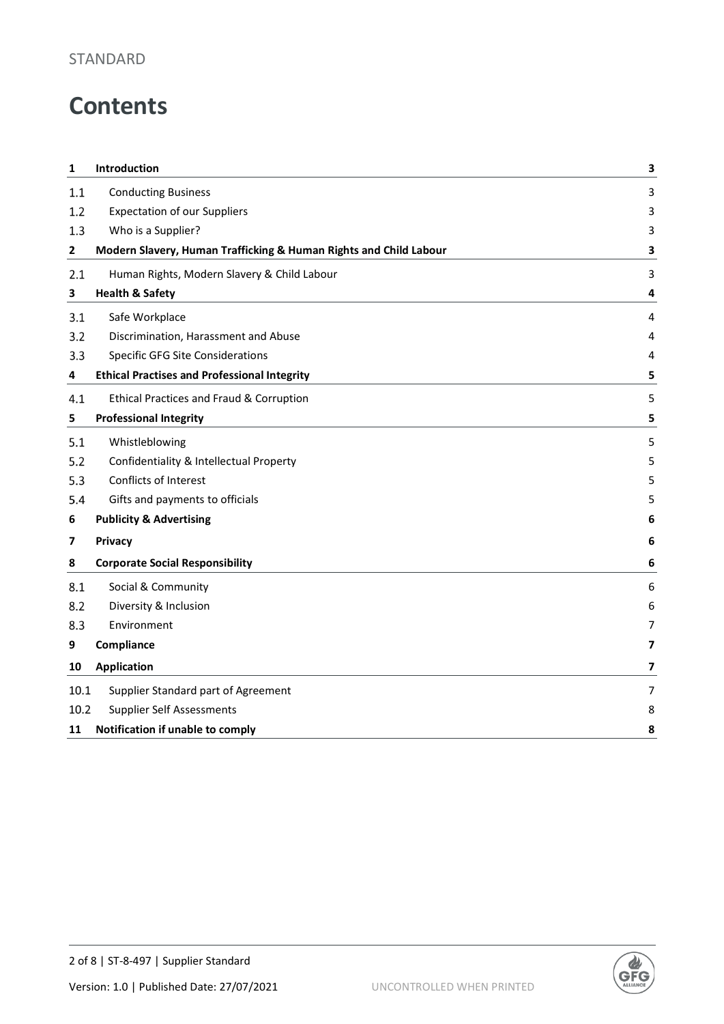### STANDARD

# **Contents**

| 1    | Introduction                                                      | 3 |
|------|-------------------------------------------------------------------|---|
| 1.1  | <b>Conducting Business</b>                                        | 3 |
| 1.2  | <b>Expectation of our Suppliers</b>                               | 3 |
| 1.3  | Who is a Supplier?                                                | 3 |
| 2    | Modern Slavery, Human Trafficking & Human Rights and Child Labour | 3 |
| 2.1  | Human Rights, Modern Slavery & Child Labour                       | 3 |
| 3    | <b>Health &amp; Safety</b>                                        | 4 |
| 3.1  | Safe Workplace                                                    | 4 |
| 3.2  | Discrimination, Harassment and Abuse                              | 4 |
| 3.3  | <b>Specific GFG Site Considerations</b>                           | 4 |
| 4    | <b>Ethical Practises and Professional Integrity</b>               | 5 |
| 4.1  | <b>Ethical Practices and Fraud &amp; Corruption</b>               | 5 |
| 5    | <b>Professional Integrity</b>                                     | 5 |
| 5.1  | Whistleblowing                                                    | 5 |
| 5.2  | Confidentiality & Intellectual Property                           | 5 |
| 5.3  | Conflicts of Interest                                             | 5 |
| 5.4  | Gifts and payments to officials                                   | 5 |
| 6    | <b>Publicity &amp; Advertising</b>                                | 6 |
| 7    | Privacy                                                           | 6 |
| 8    | <b>Corporate Social Responsibility</b>                            | 6 |
| 8.1  | Social & Community                                                | 6 |
| 8.2  | Diversity & Inclusion                                             | 6 |
| 8.3  | Environment                                                       | 7 |
| 9    | Compliance                                                        | 7 |
| 10   | <b>Application</b>                                                | 7 |
| 10.1 | Supplier Standard part of Agreement                               | 7 |
| 10.2 | <b>Supplier Self Assessments</b>                                  | 8 |
| 11   | Notification if unable to comply                                  | 8 |

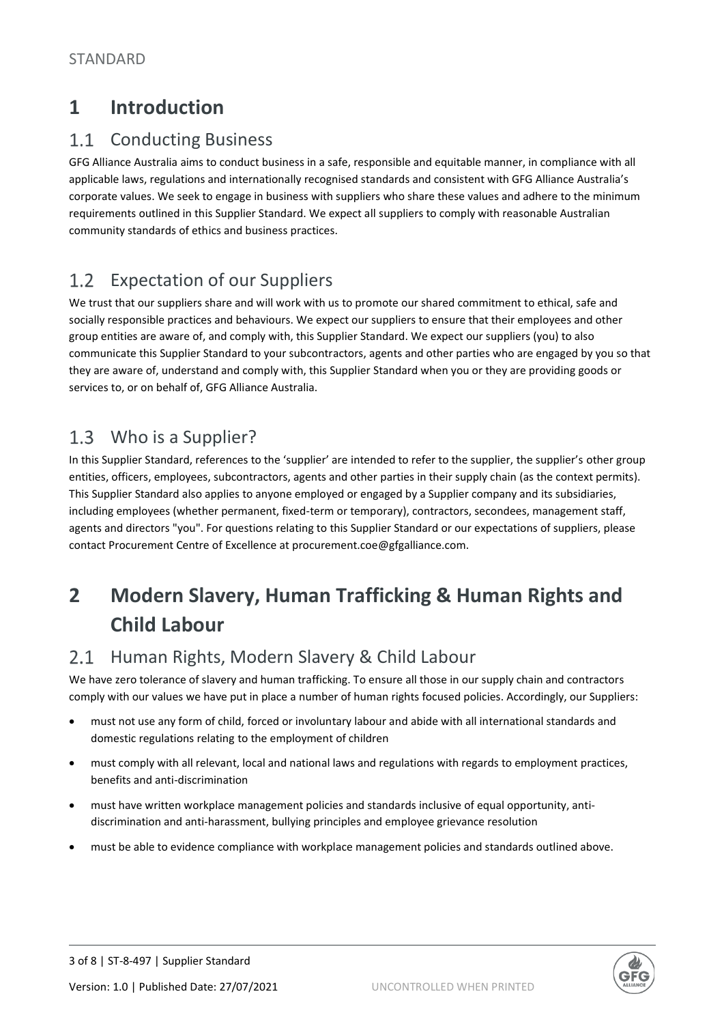### **1 Introduction**

#### $1.1$ Conducting Business

GFG Alliance Australia aims to conduct business in a safe, responsible and equitable manner, in compliance with all applicable laws, regulations and internationally recognised standards and consistent with GFG Alliance Australia's corporate values. We seek to engage in business with suppliers who share these values and adhere to the minimum requirements outlined in this Supplier Standard. We expect all suppliers to comply with reasonable Australian community standards of ethics and business practices.

#### Expectation of our Suppliers  $1.2$

We trust that our suppliers share and will work with us to promote our shared commitment to ethical, safe and socially responsible practices and behaviours. We expect our suppliers to ensure that their employees and other group entities are aware of, and comply with, this Supplier Standard. We expect our suppliers (you) to also communicate this Supplier Standard to your subcontractors, agents and other parties who are engaged by you so that they are aware of, understand and comply with, this Supplier Standard when you or they are providing goods or services to, or on behalf of, GFG Alliance Australia.

#### $1.3$ Who is a Supplier?

In this Supplier Standard, references to the 'supplier' are intended to refer to the supplier, the supplier's other group entities, officers, employees, subcontractors, agents and other parties in their supply chain (as the context permits). This Supplier Standard also applies to anyone employed or engaged by a Supplier company and its subsidiaries, including employees (whether permanent, fixed-term or temporary), contractors, secondees, management staff, agents and directors "you". For questions relating to this Supplier Standard or our expectations of suppliers, please contact Procurement Centre of Excellence at procurement.coe@gfgalliance.com.

## **2 Modern Slavery, Human Trafficking & Human Rights and Child Labour**

#### Human Rights, Modern Slavery & Child Labour  $2.1$

We have zero tolerance of slavery and human trafficking. To ensure all those in our supply chain and contractors comply with our values we have put in place a number of human rights focused policies. Accordingly, our Suppliers:

- must not use any form of child, forced or involuntary labour and abide with all international standards and domestic regulations relating to the employment of children
- must comply with all relevant, local and national laws and regulations with regards to employment practices, benefits and anti-discrimination
- must have written workplace management policies and standards inclusive of equal opportunity, antidiscrimination and anti-harassment, bullying principles and employee grievance resolution
- must be able to evidence compliance with workplace management policies and standards outlined above.

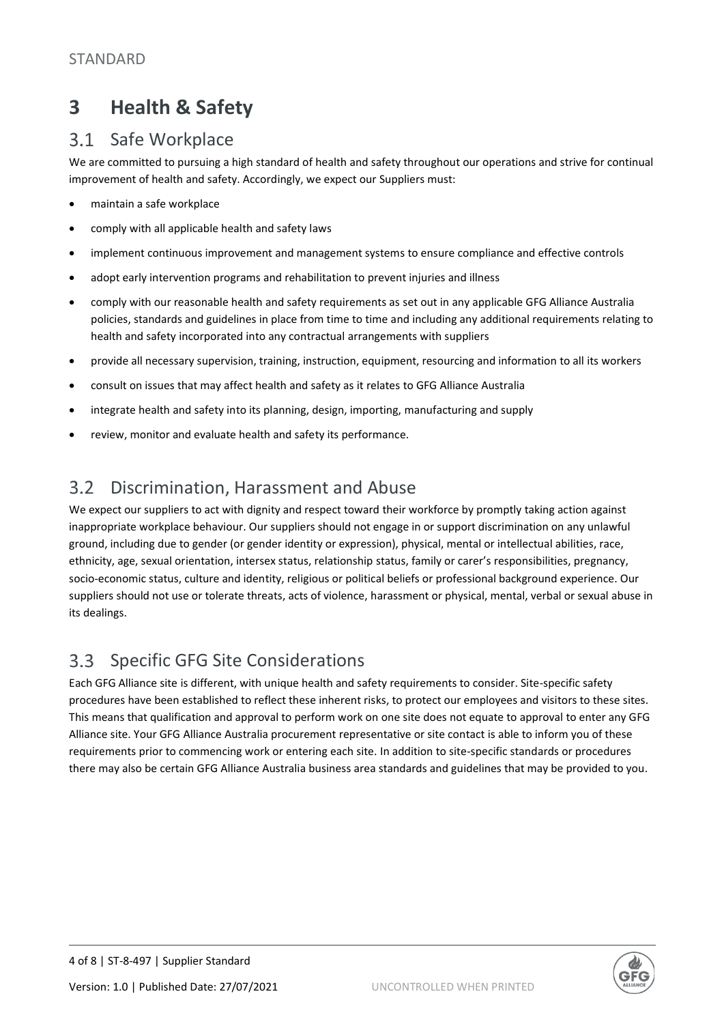### **3 Health & Safety**

#### $3.1$ Safe Workplace

We are committed to pursuing a high standard of health and safety throughout our operations and strive for continual improvement of health and safety. Accordingly, we expect our Suppliers must:

- maintain a safe workplace
- comply with all applicable health and safety laws
- implement continuous improvement and management systems to ensure compliance and effective controls
- adopt early intervention programs and rehabilitation to prevent injuries and illness
- comply with our reasonable health and safety requirements as set out in any applicable GFG Alliance Australia policies, standards and guidelines in place from time to time and including any additional requirements relating to health and safety incorporated into any contractual arrangements with suppliers
- provide all necessary supervision, training, instruction, equipment, resourcing and information to all its workers
- consult on issues that may affect health and safety as it relates to GFG Alliance Australia
- integrate health and safety into its planning, design, importing, manufacturing and supply
- review, monitor and evaluate health and safety its performance.

#### $3.2$ Discrimination, Harassment and Abuse

We expect our suppliers to act with dignity and respect toward their workforce by promptly taking action against inappropriate workplace behaviour. Our suppliers should not engage in or support discrimination on any unlawful ground, including due to gender (or gender identity or expression), physical, mental or intellectual abilities, race, ethnicity, age, sexual orientation, intersex status, relationship status, family or carer's responsibilities, pregnancy, socio-economic status, culture and identity, religious or political beliefs or professional background experience. Our suppliers should not use or tolerate threats, acts of violence, harassment or physical, mental, verbal or sexual abuse in its dealings.

#### Specific GFG Site Considerations  $3.3$

Each GFG Alliance site is different, with unique health and safety requirements to consider. Site-specific safety procedures have been established to reflect these inherent risks, to protect our employees and visitors to these sites. This means that qualification and approval to perform work on one site does not equate to approval to enter any GFG Alliance site. Your GFG Alliance Australia procurement representative or site contact is able to inform you of these requirements prior to commencing work or entering each site. In addition to site-specific standards or procedures there may also be certain GFG Alliance Australia business area standards and guidelines that may be provided to you.

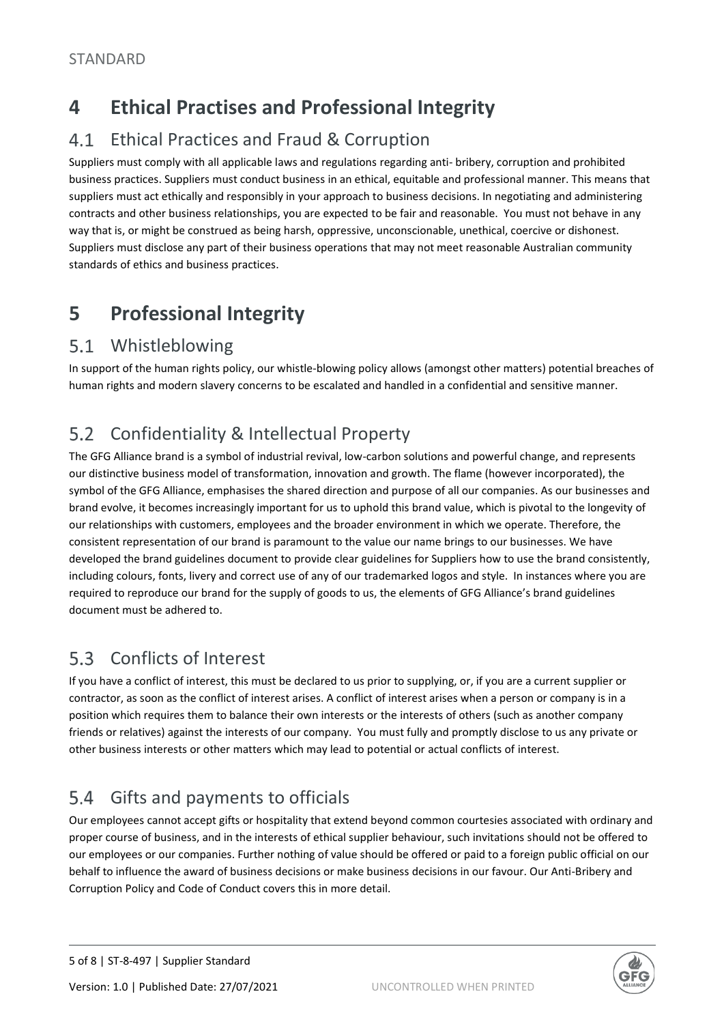### **4 Ethical Practises and Professional Integrity**

#### $4.1$ Ethical Practices and Fraud & Corruption

Suppliers must comply with all applicable laws and regulations regarding anti- bribery, corruption and prohibited business practices. Suppliers must conduct business in an ethical, equitable and professional manner. This means that suppliers must act ethically and responsibly in your approach to business decisions. In negotiating and administering contracts and other business relationships, you are expected to be fair and reasonable. You must not behave in any way that is, or might be construed as being harsh, oppressive, unconscionable, unethical, coercive or dishonest. Suppliers must disclose any part of their business operations that may not meet reasonable Australian community standards of ethics and business practices.

### **5 Professional Integrity**

#### Whistleblowing  $5.1$

In support of the human rights policy, our whistle-blowing policy allows (amongst other matters) potential breaches of human rights and modern slavery concerns to be escalated and handled in a confidential and sensitive manner.

#### $5.2$ Confidentiality & Intellectual Property

The GFG Alliance brand is a symbol of industrial revival, low-carbon solutions and powerful change, and represents our distinctive business model of transformation, innovation and growth. The flame (however incorporated), the symbol of the GFG Alliance, emphasises the shared direction and purpose of all our companies. As our businesses and brand evolve, it becomes increasingly important for us to uphold this brand value, which is pivotal to the longevity of our relationships with customers, employees and the broader environment in which we operate. Therefore, the consistent representation of our brand is paramount to the value our name brings to our businesses. We have developed the brand guidelines document to provide clear guidelines for Suppliers how to use the brand consistently, including colours, fonts, livery and correct use of any of our trademarked logos and style. In instances where you are required to reproduce our brand for the supply of goods to us, the elements of GFG Alliance's brand guidelines document must be adhered to.

#### $5.3$ Conflicts of Interest

If you have a conflict of interest, this must be declared to us prior to supplying, or, if you are a current supplier or contractor, as soon as the conflict of interest arises. A conflict of interest arises when a person or company is in a position which requires them to balance their own interests or the interests of others (such as another company friends or relatives) against the interests of our company. You must fully and promptly disclose to us any private or other business interests or other matters which may lead to potential or actual conflicts of interest.

#### $5.4$ Gifts and payments to officials

Our employees cannot accept gifts or hospitality that extend beyond common courtesies associated with ordinary and proper course of business, and in the interests of ethical supplier behaviour, such invitations should not be offered to our employees or our companies. Further nothing of value should be offered or paid to a foreign public official on our behalf to influence the award of business decisions or make business decisions in our favour. Our Anti-Bribery and Corruption Policy and Code of Conduct covers this in more detail.

Version: 1.0 | Published Date: 27/07/2021 UNCONTROLLED WHEN PRINTED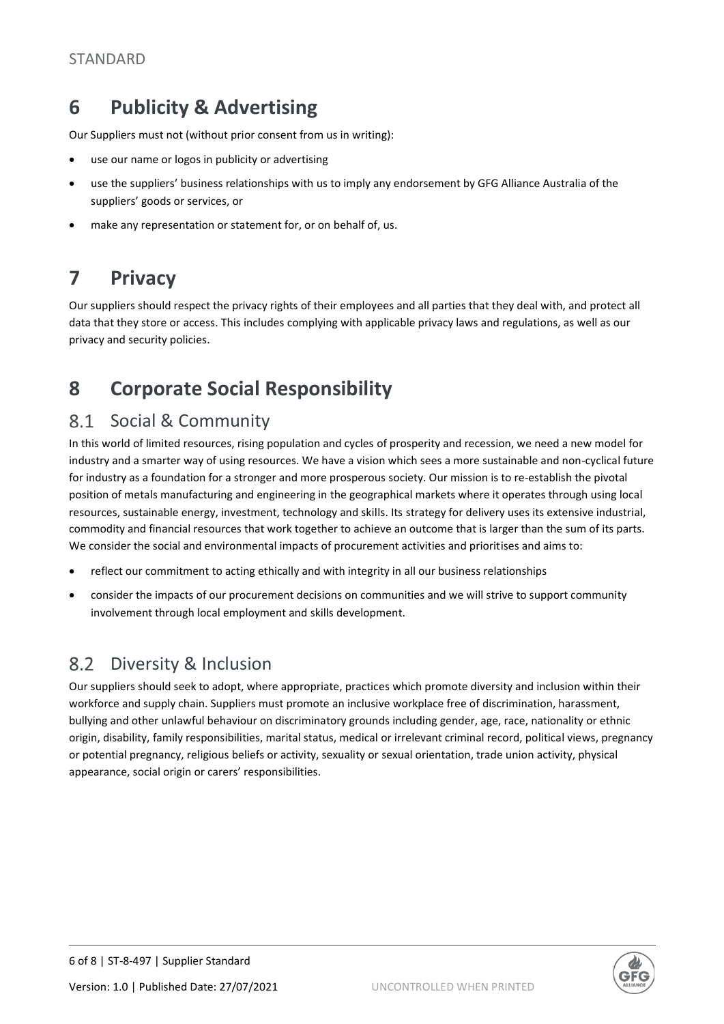### **6 Publicity & Advertising**

Our Suppliers must not (without prior consent from us in writing):

- use our name or logos in publicity or advertising
- use the suppliers' business relationships with us to imply any endorsement by GFG Alliance Australia of the suppliers' goods or services, or
- make any representation or statement for, or on behalf of, us.

### **7 Privacy**

Our suppliers should respect the privacy rights of their employees and all parties that they deal with, and protect all data that they store or access. This includes complying with applicable privacy laws and regulations, as well as our privacy and security policies.

### **8 Corporate Social Responsibility**

#### 8.1 Social & Community

In this world of limited resources, rising population and cycles of prosperity and recession, we need a new model for industry and a smarter way of using resources. We have a vision which sees a more sustainable and non-cyclical future for industry as a foundation for a stronger and more prosperous society. Our mission is to re-establish the pivotal position of metals manufacturing and engineering in the geographical markets where it operates through using local resources, sustainable energy, investment, technology and skills. Its strategy for delivery uses its extensive industrial, commodity and financial resources that work together to achieve an outcome that is larger than the sum of its parts. We consider the social and environmental impacts of procurement activities and prioritises and aims to:

- reflect our commitment to acting ethically and with integrity in all our business relationships
- consider the impacts of our procurement decisions on communities and we will strive to support community involvement through local employment and skills development.

#### 8.2 Diversity & Inclusion

Our suppliers should seek to adopt, where appropriate, practices which promote diversity and inclusion within their workforce and supply chain. Suppliers must promote an inclusive workplace free of discrimination, harassment, bullying and other unlawful behaviour on discriminatory grounds including gender, age, race, nationality or ethnic origin, disability, family responsibilities, marital status, medical or irrelevant criminal record, political views, pregnancy or potential pregnancy, religious beliefs or activity, sexuality or sexual orientation, trade union activity, physical appearance, social origin or carers' responsibilities.

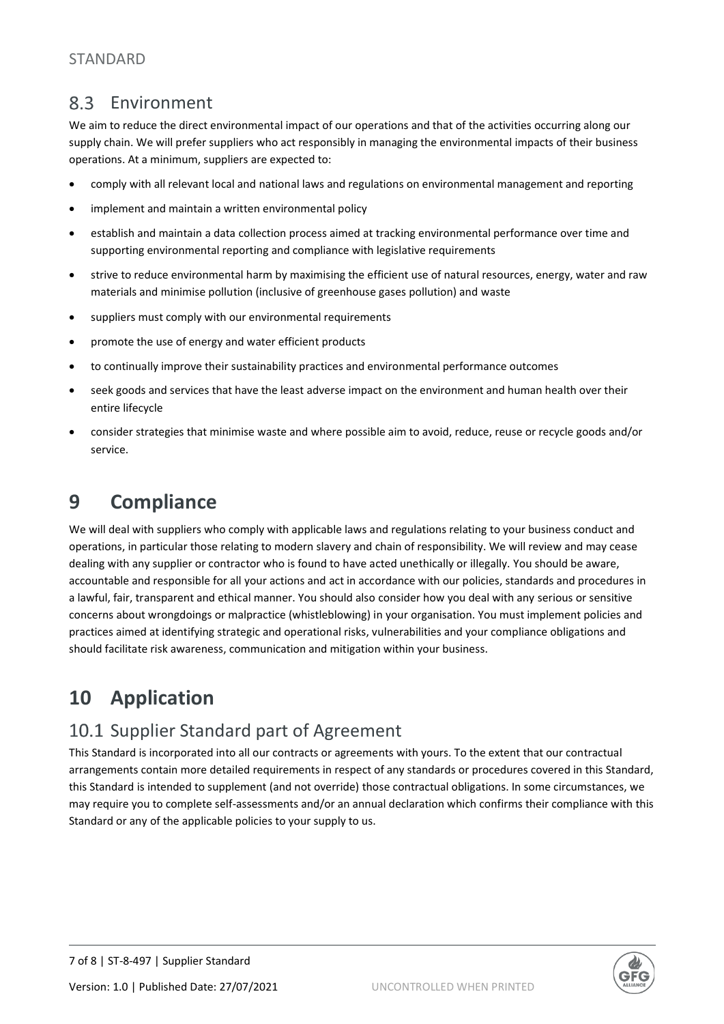#### $83$ Environment

We aim to reduce the direct environmental impact of our operations and that of the activities occurring along our supply chain. We will prefer suppliers who act responsibly in managing the environmental impacts of their business operations. At a minimum, suppliers are expected to:

- comply with all relevant local and national laws and regulations on environmental management and reporting
- implement and maintain a written environmental policy
- establish and maintain a data collection process aimed at tracking environmental performance over time and supporting environmental reporting and compliance with legislative requirements
- strive to reduce environmental harm by maximising the efficient use of natural resources, energy, water and raw materials and minimise pollution (inclusive of greenhouse gases pollution) and waste
- suppliers must comply with our environmental requirements
- promote the use of energy and water efficient products
- to continually improve their sustainability practices and environmental performance outcomes
- seek goods and services that have the least adverse impact on the environment and human health over their entire lifecycle
- consider strategies that minimise waste and where possible aim to avoid, reduce, reuse or recycle goods and/or service.

### **9 Compliance**

We will deal with suppliers who comply with applicable laws and regulations relating to your business conduct and operations, in particular those relating to modern slavery and chain of responsibility. We will review and may cease dealing with any supplier or contractor who is found to have acted unethically or illegally. You should be aware, accountable and responsible for all your actions and act in accordance with our policies, standards and procedures in a lawful, fair, transparent and ethical manner. You should also consider how you deal with any serious or sensitive concerns about wrongdoings or malpractice (whistleblowing) in your organisation. You must implement policies and practices aimed at identifying strategic and operational risks, vulnerabilities and your compliance obligations and should facilitate risk awareness, communication and mitigation within your business.

### **10 Application**

### 10.1 Supplier Standard part of Agreement

This Standard is incorporated into all our contracts or agreements with yours. To the extent that our contractual arrangements contain more detailed requirements in respect of any standards or procedures covered in this Standard, this Standard is intended to supplement (and not override) those contractual obligations. In some circumstances, we may require you to complete self-assessments and/or an annual declaration which confirms their compliance with this Standard or any of the applicable policies to your supply to us.